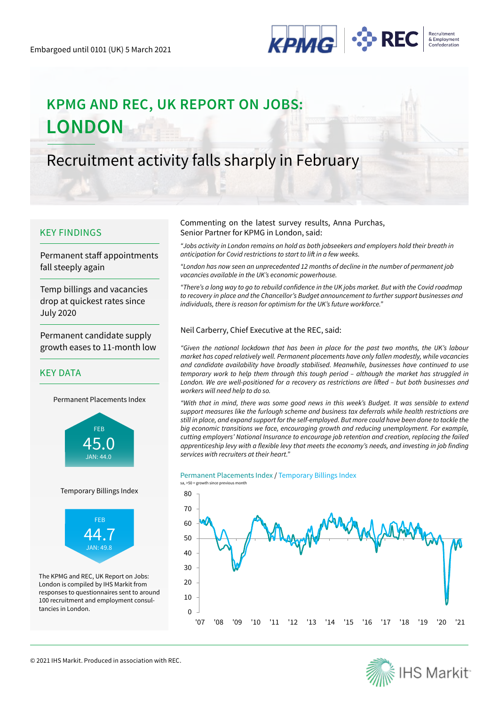

# **KPMG AND REC, UK REPORT ON JOBS: LONDON**

# Recruitment activity falls sharply in February

### KEY FINDINGS

Permanent staff appointments fall steeply again

Temp billings and vacancies drop at quickest rates since July 2020

Permanent candidate supply growth eases to 11-month low

### KEY DATA

Permanent Placements Index



#### Temporary Billings Index



The KPMG and REC, UK Report on Jobs: London is compiled by IHS Markit from responses to questionnaires sent to around 100 recruitment and employment consultancies in London.

#### Commenting on the latest survey results, Anna Purchas, Senior Partner for KPMG in London, said:

*"Jobs activity in London remains on hold as both jobseekers and employers hold their breath in*  anticipation for Covid restrictions to start to lift in a few weeks.

"London has now seen an unprecedented 12 months of decline in the number of permanent job vacancies available in the UK's economic powerhouse.

"There's a long way to go to rebuild confidence in the UK jobs market. But with the Covid roadmap to recovery in place and the Chancellor's Budget announcement to further support businesses and individuals, there is reason for optimism for the UK's future workforce."

#### Neil Carberry, Chief Executive at the REC, said:

"Given the national lockdown that has been in place for the past two months, the UK's labour market has coped relatively well. Permanent placements have only fallen modestly, while vacancies and candidate availability have broadly stabilised. Meanwhile, businesses have continued to use temporary work to help them through this tough period – although the market has struggled in London. We are well-positioned for a recovery as restrictions are lifted – but both businesses and workers will need help to do so.

"With that in mind, there was some good news in this week's Budget. It was sensible to extend support measures like the furlough scheme and business tax deferrals while health restrictions are still in place, and expand support for the self-employed. But more could have been done to tackle the big economic transitions we face, encouraging growth and reducing unemployment. For example, cutting employers' National Insurance to encourage job retention and creation, replacing the failed apprenticeship levy with a flexible levy that meets the economy's needs, and investing in job finding services with recruiters at their heart."

#### Permanent Placements Index / Temporary Billings Index





© 2021 IHS Markit. Produced in association with REC.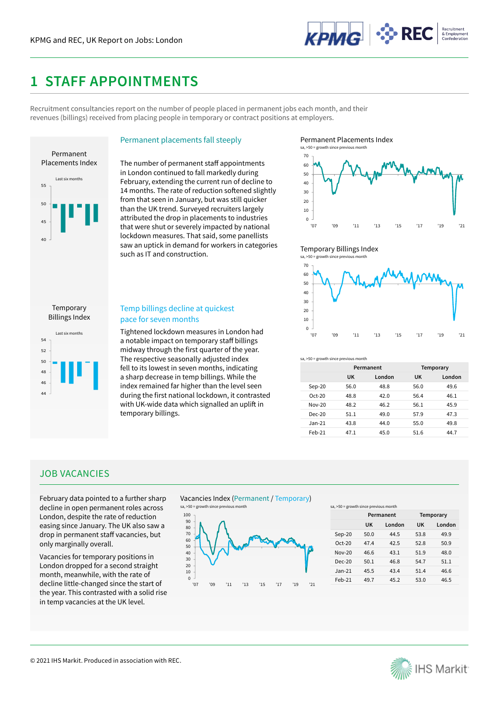

# **1 STAFF APPOINTMENTS**

Recruitment consultancies report on the number of people placed in permanent jobs each month, and their revenues (billings) received from placing people in temporary or contract positions at employers.



Permanent placements fall steeply

The number of permanent staff appointments in London continued to fall markedly during February, extending the current run of decline to 14 months. The rate of reduction softened slightly from that seen in January, but was still quicker than the UK trend. Surveyed recruiters largely attributed the drop in placements to industries that were shut or severely impacted by national lockdown measures. That said, some panellists saw an uptick in demand for workers in categories such as IT and construction.

Permanent Placements Index



#### Temporary Billings Index



44 46 48 50 52 54 Last six months Billings Index

Temporary

#### Temp billings decline at quickest pace for seven months

Tightened lockdown measures in London had a notable impact on temporary staff billings midway through the first quarter of the year. The respective seasonally adjusted index fell to its lowest in seven months, indicating a sharp decrease in temp billings. While the index remained far higher than the level seen during the first national lockdown, it contrasted with UK-wide data which signalled an uplift in temporary billings.



|          | Permanent |        | Temporary |        |
|----------|-----------|--------|-----------|--------|
|          | UK        | London | UK        | London |
| $Sep-20$ | 56.0      | 48.8   | 56.0      | 49.6   |
| $Oct-20$ | 48.8      | 42.0   | 56.4      | 46.1   |
| $Nov-20$ | 48.2      | 46.2   | 56.1      | 45.9   |
| $Dec-20$ | 51.1      | 49.0   | 57.9      | 47.3   |
| $Jan-21$ | 43.8      | 44.0   | 55.0      | 49.8   |
| $Feb-21$ | 47.1      | 45.0   | 51.6      | 44.7   |

### JOB VACANCIES

February data pointed to a further sharp decline in open permanent roles across London, despite the rate of reduction easing since January. The UK also saw a drop in permanent staff vacancies, but only marginally overall.

Vacancies for temporary positions in London dropped for a second straight month, meanwhile, with the rate of decline little-changed since the start of the year. This contrasted with a solid rise in temp vacancies at the UK level.

Vacancies Index (Permanent / Temporary)



sa, >50 = growth since previous month

|          | Permanent |         | Temporary |         |
|----------|-----------|---------|-----------|---------|
|          | UK        | I ondon | UK        | I ondon |
| $Sep-20$ | 50.0      | 44 5    | 53.8      | 49.9    |
| $Ort-20$ | 474       | 42.5    | 52 R      | 50.9    |
| $Nov-20$ | 46 6      | 43.1    | 51.9      | 48.0    |
| $Dec-20$ | 50.1      | 46.8    | 547       | 51.1    |
| $Jan-21$ | 455       | 43.4    | 514       | 46.6    |
| Feb-21   | 49.7      | 45.2    | 53.0      | 46.5    |

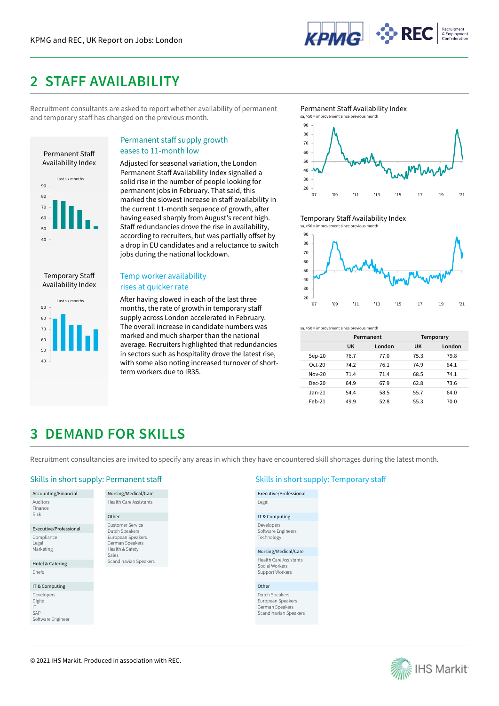

# **2 STAFF AVAILABILITY**

Recruitment consultants are asked to report whether availability of permanent and temporary staff has changed on the previous month.



Temporary Staff Availability Index



### Permanent staff supply growth eases to 11-month low

Adjusted for seasonal variation, the London Permanent Staff Availability Index signalled a solid rise in the number of people looking for permanent jobs in February. That said, this marked the slowest increase in staff availability in the current 11-month sequence of growth, after having eased sharply from August's recent high. Staff redundancies drove the rise in availability, according to recruiters, but was partially offset by a drop in EU candidates and a reluctance to switch jobs during the national lockdown.

### Temp worker availability rises at quicker rate

After having slowed in each of the last three months, the rate of growth in temporary staff supply across London accelerated in February. The overall increase in candidate numbers was marked and much sharper than the national average. Recruiters highlighted that redundancies in sectors such as hospitality drove the latest rise, with some also noting increased turnover of shortterm workers due to IR35.

Permanent Staff Availability Index



Temporary Staff Availability Index



sa, >50 = improvement since previous month

|          | Permanent |        | Temporary |        |
|----------|-----------|--------|-----------|--------|
|          | UK        | London | UK        | London |
| Sep-20   | 76.7      | 77.0   | 75.3      | 79.8   |
| $Oct-20$ | 74.2      | 76.1   | 74.9      | 84.1   |
| $Nov-20$ | 71.4      | 71.4   | 68.5      | 74.1   |
| $Dec-20$ | 64.9      | 67.9   | 62.8      | 73.6   |
| $Jan-21$ | 54.4      | 58.5   | 55.7      | 64.0   |
| $Feb-21$ | 49.9      | 52.8   | 55.3      | 70.0   |

# **3 DEMAND FOR SKILLS**

Recruitment consultancies are invited to specify any areas in which they have encountered skill shortages during the latest month.

### Skills in short supply: Permanent staff Skills in short supply: Temporary staff Skills in short supply: Temporary staff

Accounting/Financial Auditors **Finance** Risk

Executive/Professional Compliance Legal Marketing

Hotel & Catering Chefs

IT & Computing Developers Digital IT SAP Software Engineer

#### Nursing/Medical/Care Health Care Assistants Other Customer Service Dutch Speakers European Speakers German Speakers Health & Safety Sales Scandinavian Speakers

Executive/Professional Legal IT & Computing Developers Software Engineers **Technology** Nursing/Medical/Care Health Care Assistants Social Workers Support Workers Other Dutch Speakers

European Speakers German Speakers Scandinavian Speakers

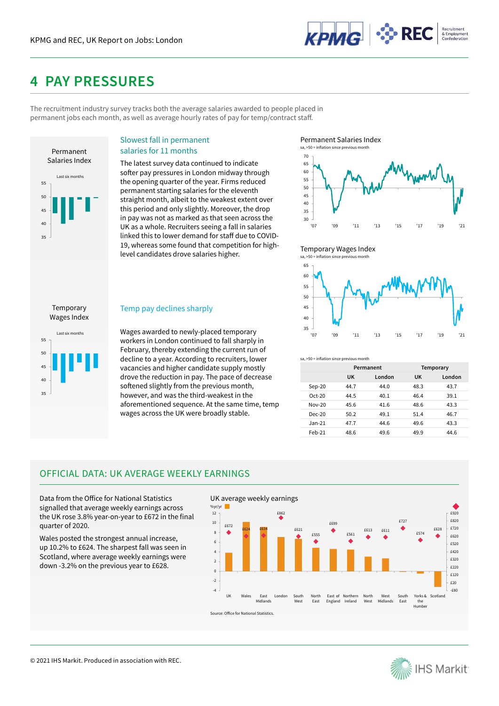

# **4 PAY PRESSURES**

The recruitment industry survey tracks both the average salaries awarded to people placed in permanent jobs each month, as well as average hourly rates of pay for temp/contract staff.



#### Slowest fall in permanent salaries for 11 months

The latest survey data continued to indicate softer pay pressures in London midway through the opening quarter of the year. Firms reduced permanent starting salaries for the eleventh straight month, albeit to the weakest extent over this period and only slightly. Moreover, the drop in pay was not as marked as that seen across the UK as a whole. Recruiters seeing a fall in salaries linked this to lower demand for staff due to COVID-19, whereas some found that competition for highlevel candidates drove salaries higher.

Permanent Salaries Index



#### Temporary Wages Index sa,  $>50$  =



# 35 40 45 50 55 Last six months Wages Index

Temporary

### Temp pay declines sharply

Wages awarded to newly-placed temporary workers in London continued to fall sharply in February, thereby extending the current run of decline to a year. According to recruiters, lower vacancies and higher candidate supply mostly drove the reduction in pay. The pace of decrease softened slightly from the previous month, however, and was the third-weakest in the aforementioned sequence. At the same time, temp wages across the UK were broadly stable.

sa, >50 = inflation since previous month

|          | Permanent |        | Temporary |        |
|----------|-----------|--------|-----------|--------|
|          | UK        | London | UK        | London |
| Sep-20   | 44.7      | 44.0   | 48.3      | 43.7   |
| $Oct-20$ | 44.5      | 40.1   | 46.4      | 39.1   |
| $Nov-20$ | 45.6      | 41.6   | 48.6      | 43.3   |
| $Dec-20$ | 50.2      | 49.1   | 51.4      | 46.7   |
| $Jan-21$ | 47.7      | 44.6   | 49.6      | 43.3   |
| $Feb-21$ | 48.6      | 49.6   | 49.9      | 44.6   |

## OFFICIAL DATA: UK AVERAGE WEEKLY EARNINGS

Data from the Office for National Statistics signalled that average weekly earnings across the UK rose 3.8% year-on-year to £672 in the final quarter of 2020.

Wales posted the strongest annual increase, up 10.2% to £624. The sharpest fall was seen in Scotland, where average weekly earnings were down -3.2% on the previous year to £628.



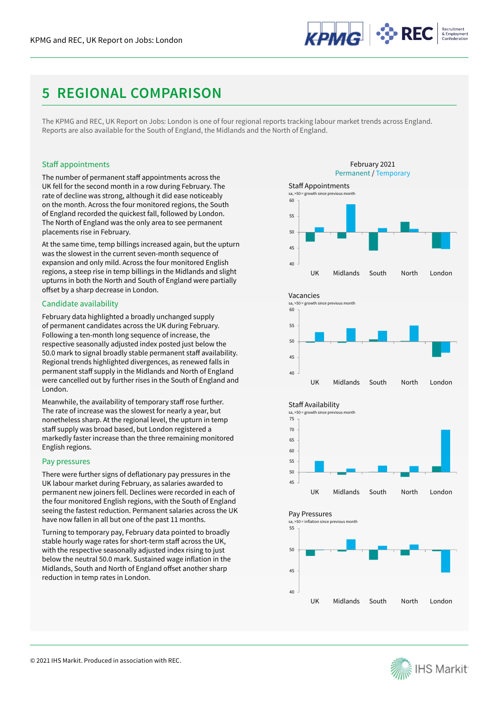

# **5 REGIONAL COMPARISON**

The KPMG and REC, UK Report on Jobs: London is one of four regional reports tracking labour market trends across England. Reports are also available for the South of England, the Midlands and the North of England.

#### Staff appointments

The number of permanent staff appointments across the UK fell for the second month in a row during February. The rate of decline was strong, although it did ease noticeably on the month. Across the four monitored regions, the South of England recorded the quickest fall, followed by London. The North of England was the only area to see permanent placements rise in February.

At the same time, temp billings increased again, but the upturn was the slowest in the current seven-month sequence of expansion and only mild. Across the four monitored English regions, a steep rise in temp billings in the Midlands and slight upturns in both the North and South of England were partially offset by a sharp decrease in London.

#### Candidate availability

February data highlighted a broadly unchanged supply of permanent candidates across the UK during February. Following a ten-month long sequence of increase, the respective seasonally adjusted index posted just below the 50.0 mark to signal broadly stable permanent staff availability. Regional trends highlighted divergences, as renewed falls in permanent staff supply in the Midlands and North of England were cancelled out by further rises in the South of England and London.

Meanwhile, the availability of temporary staff rose further. The rate of increase was the slowest for nearly a year, but nonetheless sharp. At the regional level, the upturn in temp staff supply was broad based, but London registered a markedly faster increase than the three remaining monitored English regions.

#### Pay pressures

There were further signs of deflationary pay pressures in the UK labour market during February, as salaries awarded to permanent new joiners fell. Declines were recorded in each of the four monitored English regions, with the South of England seeing the fastest reduction. Permanent salaries across the UK have now fallen in all but one of the past 11 months.

Turning to temporary pay, February data pointed to broadly stable hourly wage rates for short-term staff across the UK, with the respective seasonally adjusted index rising to just below the neutral 50.0 mark. Sustained wage inflation in the Midlands, South and North of England offset another sharp reduction in temp rates in London.







45 50 55 60 65 70 75 UK Midlands South North London sa, >50 = growth since previous month